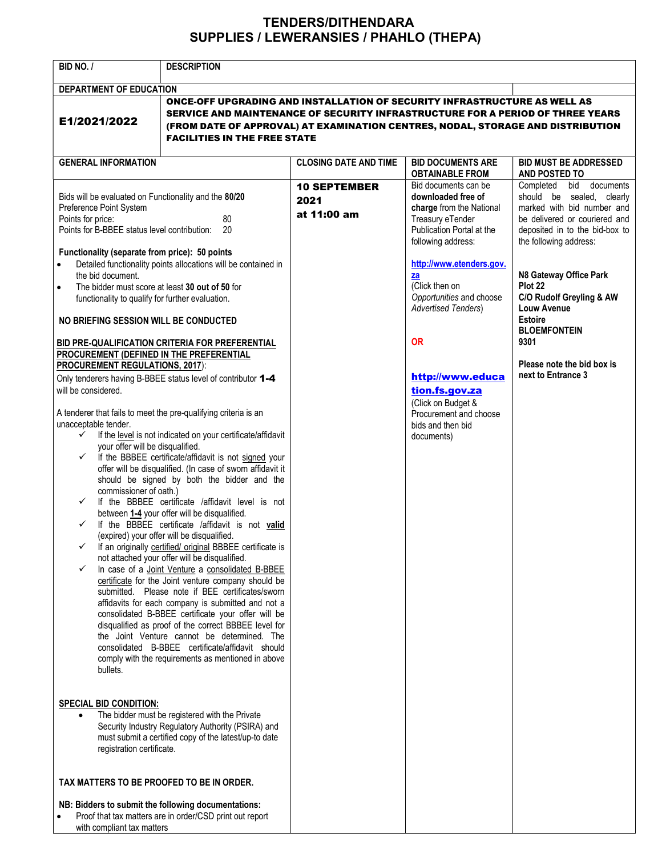## TENDERS/DITHENDARA SUPPLIES / LEWERANSIES / PHAHLO (THEPA)

| <b>BID NO. /</b>                                                                                                                                                                                                                                                                                                                                         | <b>DESCRIPTION</b>                                                                                                                                                                                                                                                                                                                                                                                                                                                                                                                                                                                                                                                                                                                                                                                                                                                                                                                                                                                                                                                                                                                                                   |                                            |                                                                                                                                               |                                                                                                                                                                                 |
|----------------------------------------------------------------------------------------------------------------------------------------------------------------------------------------------------------------------------------------------------------------------------------------------------------------------------------------------------------|----------------------------------------------------------------------------------------------------------------------------------------------------------------------------------------------------------------------------------------------------------------------------------------------------------------------------------------------------------------------------------------------------------------------------------------------------------------------------------------------------------------------------------------------------------------------------------------------------------------------------------------------------------------------------------------------------------------------------------------------------------------------------------------------------------------------------------------------------------------------------------------------------------------------------------------------------------------------------------------------------------------------------------------------------------------------------------------------------------------------------------------------------------------------|--------------------------------------------|-----------------------------------------------------------------------------------------------------------------------------------------------|---------------------------------------------------------------------------------------------------------------------------------------------------------------------------------|
| DEPARTMENT OF EDUCATION                                                                                                                                                                                                                                                                                                                                  |                                                                                                                                                                                                                                                                                                                                                                                                                                                                                                                                                                                                                                                                                                                                                                                                                                                                                                                                                                                                                                                                                                                                                                      |                                            |                                                                                                                                               |                                                                                                                                                                                 |
| E1/2021/2022                                                                                                                                                                                                                                                                                                                                             | ONCE-OFF UPGRADING AND INSTALLATION OF SECURITY INFRASTRUCTURE AS WELL AS<br>SERVICE AND MAINTENANCE OF SECURITY INFRASTRUCTURE FOR A PERIOD OF THREE YEARS<br>(FROM DATE OF APPROVAL) AT EXAMINATION CENTRES, NODAL, STORAGE AND DISTRIBUTION<br><b>FACILITIES IN THE FREE STATE</b>                                                                                                                                                                                                                                                                                                                                                                                                                                                                                                                                                                                                                                                                                                                                                                                                                                                                                |                                            |                                                                                                                                               |                                                                                                                                                                                 |
| <b>GENERAL INFORMATION</b>                                                                                                                                                                                                                                                                                                                               |                                                                                                                                                                                                                                                                                                                                                                                                                                                                                                                                                                                                                                                                                                                                                                                                                                                                                                                                                                                                                                                                                                                                                                      | <b>CLOSING DATE AND TIME</b>               | <b>BID DOCUMENTS ARE</b><br><b>OBTAINABLE FROM</b>                                                                                            | <b>BID MUST BE ADDRESSED</b><br>AND POSTED TO                                                                                                                                   |
| Bids will be evaluated on Functionality and the 80/20<br>Preference Point System<br>Points for price:<br>80<br>20<br>Points for B-BBEE status level contribution:<br>Functionality (separate from price): 50 points                                                                                                                                      |                                                                                                                                                                                                                                                                                                                                                                                                                                                                                                                                                                                                                                                                                                                                                                                                                                                                                                                                                                                                                                                                                                                                                                      | <b>10 SEPTEMBER</b><br>2021<br>at 11:00 am | Bid documents can be<br>downloaded free of<br>charge from the National<br>Treasury eTender<br>Publication Portal at the<br>following address: | Completed bid documents<br>should be sealed, clearly<br>marked with bid number and<br>be delivered or couriered and<br>deposited in to the bid-box to<br>the following address: |
| Detailed functionality points allocations will be contained in<br>the bid document.<br>The bidder must score at least 30 out of 50 for<br>functionality to qualify for further evaluation.<br>NO BRIEFING SESSION WILL BE CONDUCTED                                                                                                                      |                                                                                                                                                                                                                                                                                                                                                                                                                                                                                                                                                                                                                                                                                                                                                                                                                                                                                                                                                                                                                                                                                                                                                                      |                                            | http://www.etenders.gov.<br>za<br>(Click then on<br>Opportunities and choose<br><b>Advertised Tenders)</b>                                    | N8 Gateway Office Park<br>Plot 22<br>C/O Rudolf Greyling & AW<br>Louw Avenue<br><b>Estoire</b><br><b>BLOEMFONTEIN</b>                                                           |
| PROCUREMENT (DEFINED IN THE PREFERENTIAL<br><b>PROCUREMENT REGULATIONS, 2017):</b><br>will be considered.<br>A tenderer that fails to meet the pre-qualifying criteria is an<br>unacceptable tender.<br>$\checkmark$<br>your offer will be disqualified.<br>$\checkmark$<br>commissioner of oath.)<br>$\checkmark$<br>✓<br>✓<br>$\checkmark$<br>bullets. | BID PRE-QUALIFICATION CRITERIA FOR PREFERENTIAL<br>Only tenderers having B-BBEE status level of contributor 1-4<br>If the level is not indicated on your certificate/affidavit<br>If the BBBEE certificate/affidavit is not signed your<br>offer will be disqualified. (In case of sworn affidavit it<br>should be signed by both the bidder and the<br>If the BBBEE certificate /affidavit level is not<br>between 1-4 your offer will be disqualified.<br>If the BBBEE certificate /affidavit is not valid<br>(expired) your offer will be disqualified.<br>If an originally certified/ original BBBEE certificate is<br>not attached your offer will be disqualified.<br>In case of a Joint Venture a consolidated B-BBEE<br>certificate for the Joint venture company should be<br>submitted. Please note if BEE certificates/sworn<br>affidavits for each company is submitted and not a<br>consolidated B-BBEE certificate your offer will be<br>disqualified as proof of the correct BBBEE level for<br>the Joint Venture cannot be determined. The<br>consolidated B-BBEE certificate/affidavit should<br>comply with the requirements as mentioned in above |                                            | <b>OR</b><br>http://www.educa<br>tion.fs.gov.za<br>(Click on Budget &<br>Procurement and choose<br>bids and then bid<br>documents)            | 9301<br>Please note the bid box is<br>next to Entrance 3                                                                                                                        |
| <b>SPECIAL BID CONDITION:</b><br>The bidder must be registered with the Private<br>$\bullet$<br>Security Industry Regulatory Authority (PSIRA) and<br>must submit a certified copy of the latest/up-to date<br>registration certificate.                                                                                                                 |                                                                                                                                                                                                                                                                                                                                                                                                                                                                                                                                                                                                                                                                                                                                                                                                                                                                                                                                                                                                                                                                                                                                                                      |                                            |                                                                                                                                               |                                                                                                                                                                                 |
| TAX MATTERS TO BE PROOFED TO BE IN ORDER.<br>NB: Bidders to submit the following documentations:<br>with compliant tax matters                                                                                                                                                                                                                           | Proof that tax matters are in order/CSD print out report                                                                                                                                                                                                                                                                                                                                                                                                                                                                                                                                                                                                                                                                                                                                                                                                                                                                                                                                                                                                                                                                                                             |                                            |                                                                                                                                               |                                                                                                                                                                                 |